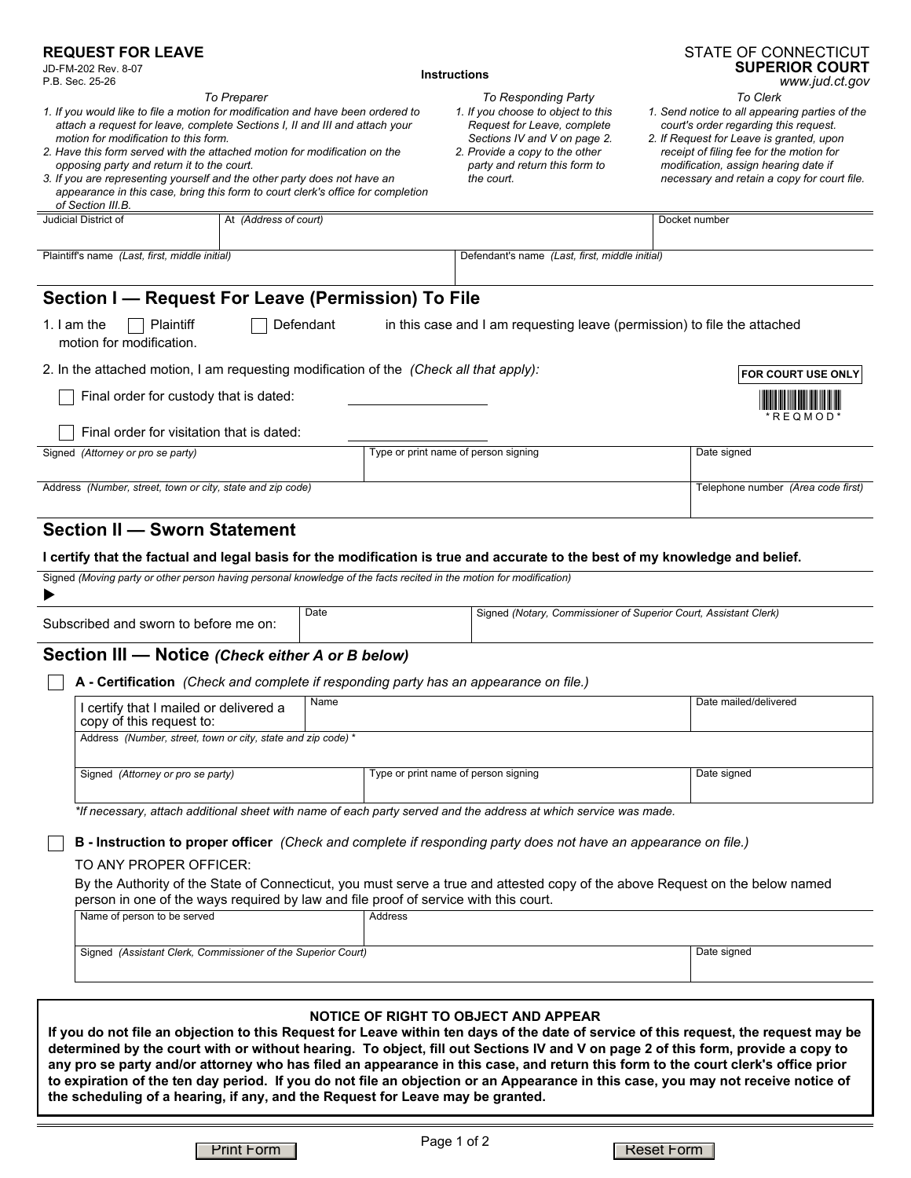## **REQUEST FOR LEAVE**

|  | JD-FM-202 Rev. 8 |  |
|--|------------------|--|
|  | $D D C_{00} 252$ |  |

 $8 - 07$ P.B. Sec. 25-26

**Instructions**



*To Responding Party To Clerk*

*1. If you would like to file a motion for modification and have been ordered to attach a request for leave, complete Sections I, II and III and attach your motion for modification to this form.*

*To Preparer*

- *2. Have this form served with the attached motion for modification on the opposing party and return it to the court.*
- *3. If you are representing yourself and the other party does not have an appearance in this case, bring this form to court clerk's office for completion of Section III.B.*

*1. If you choose to object to this Request for Leave, complete Sections IV and V on page 2. 2. Provide a copy to the other party and return this form to*

*the court.*

*2. If Request for Leave is granted, upon receipt of filing fee for the motion for modification, assign hearing date if necessary and retain a copy for court file.*

| Plaintiff's name (Last, first, middle initial)                                         | Defendant's name (Last, first, middle initial)                           |                                    |
|----------------------------------------------------------------------------------------|--------------------------------------------------------------------------|------------------------------------|
| Section I — Request For Leave (Permission) To File                                     |                                                                          |                                    |
| Defendant<br>Plaintiff<br>1. I am the<br>motion for modification.                      | in this case and I am requesting leave (permission) to file the attached |                                    |
| 2. In the attached motion, I am requesting modification of the (Check all that apply): |                                                                          | <b>FOR COURT USE ONLY</b>          |
| Final order for custody that is dated:                                                 |                                                                          | $*$ REQMOD $*$                     |
| Final order for visitation that is dated:                                              |                                                                          |                                    |
| Signed (Attorney or pro se party)                                                      | Type or print name of person signing                                     | Date signed                        |
| Address (Number, street, town or city, state and zip code)                             |                                                                          | Telephone number (Area code first) |

Judicial District of At *(Address of court)* Docket number

## **Section II — Sworn Statement**

 $\blacksquare$ 

#### **I certify that the factual and legal basis for the modification is true and accurate to the best of my knowledge and belief.**

Signed *(Moving party or other person having personal knowledge of the facts recited in the motion for modification)*

| Subscribed and sworn to before me on: | Date | I Signed (Notary, Commissioner of Superior Court, Assistant Clerk) |
|---------------------------------------|------|--------------------------------------------------------------------|

## **Section III — Notice** *(Check either A or B below)*

|  |  | A - Certification (Check and complete if responding party has an appearance on file.) |  |
|--|--|---------------------------------------------------------------------------------------|--|
|--|--|---------------------------------------------------------------------------------------|--|

| I certify that I mailed or delivered a<br>copy of this request to: | Name                                 | Date mailed/delivered |
|--------------------------------------------------------------------|--------------------------------------|-----------------------|
| Address (Number, street, town or city, state and zip code) *       |                                      |                       |
| Signed (Attorney or pro se party)                                  | Type or print name of person signing | Date signed           |

*\*If necessary, attach additional sheet with name of each party served and the address at which service was made.*

**B - Instruction to proper officer** *(Check and complete if responding party does not have an appearance on file.)*

TO ANY PROPER OFFICER:

By the Authority of the State of Connecticut, you must serve a true and attested copy of the above Request on the below named person in one of the ways required by law and file proof of service with this court.

| Name of person to be served                                  | Address |             |
|--------------------------------------------------------------|---------|-------------|
|                                                              |         |             |
| Signed (Assistant Clerk, Commissioner of the Superior Court) |         | Date signed |
|                                                              |         |             |

### **NOTICE OF RIGHT TO OBJECT AND APPEAR**

**If you do not file an objection to this Request for Leave within ten days of the date of service of this request, the request may be determined by the court with or without hearing. To object, fill out Sections IV and V on page 2 of this form, provide a copy to any pro se party and/or attorney who has filed an appearance in this case, and return this form to the court clerk's office prior to expiration of the ten day period. If you do not file an objection or an Appearance in this case, you may not receive notice of the scheduling of a hearing, if any, and the Request for Leave may be granted.** 

Print Form Reset Form Reset Form